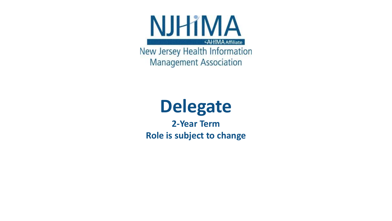

New Jersey Health Information **Management Association** 

## **Delegate**

**2-Year Term Role is subject to change**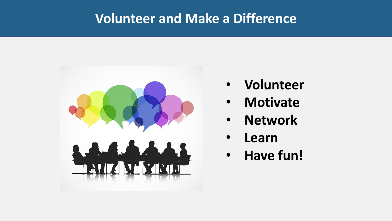#### **Volunteer and Make a Difference**



- **Volunteer**
- **Motivate**
- **Network**
- **Learn**
- **Have fun!**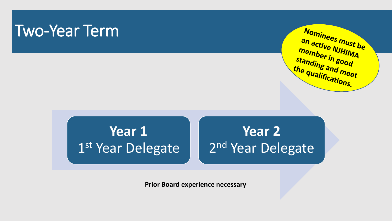### Two-Year Term



### **Year 1** 1st Year Delegate

### **Year 2** 2<sup>nd</sup> Year Delegate

**Prior Board experience necessary**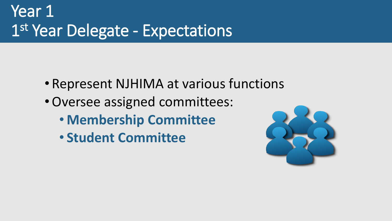## Year 1 1 st Year Delegate - Expectations

- Represent NJHIMA at various functions
- •Oversee assigned committees:
	- **Membership Committee**
	- **Student Committee**

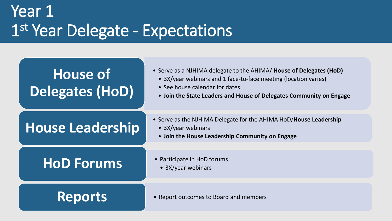### Year 1 1 st Year Delegate - Expectations

### **House of Delegates (HoD)**

- Serve as a NJHIMA delegate to the AHIMA/ **House of Delegates (HoD)**
	- 3X/year webinars and 1 face-to-face meeting (location varies)
	- See house calendar for dates.
	- **Join the State Leaders and House of Delegates Community on Engage**

#### **House Leadership**

- Serve as the NJHIMA Delegate for the AHIMA HoD/**House Leadership** 
	- 3X/year webinars
	- **Join the House Leadership Community on Engage**

#### • Participate in HoD forums **HoD Forums** • 3X/year webinars

- -

Reports • Report outcomes to Board and members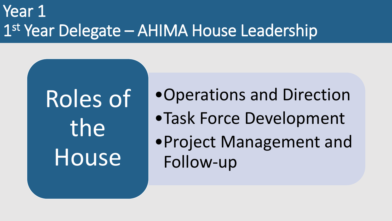### Year 1 1 st Year Delegate – AHIMA House Leadership

# Roles of the House

•Operations and Direction

- •Task Force Development
- •Project Management and Follow-up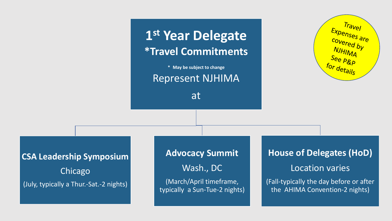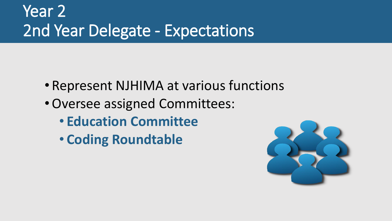## Year 2 2nd Year Delegate - Expectations

- Represent NJHIMA at various functions
- •Oversee assigned Committees:
	- **Education Committee**
	- **Coding Roundtable**

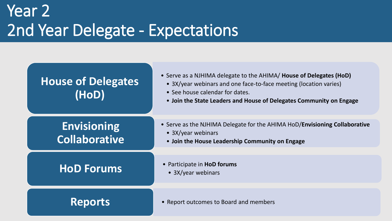### Year 2 2nd Year Delegate - Expectations

#### **House of Delegates (HoD)**

- Serve as a NJHIMA delegate to the AHIMA/ **House of Delegates (HoD)**
	- 3X/year webinars and one face-to-face meeting (location varies)
	- See house calendar for dates.
	- **Join the State Leaders and House of Delegates Community on Engage**

#### **Envisioning Collaborative**

- Serve as the NJHIMA Delegate for the AHIMA HoD/**Envisioning Collaborative** 
	- 3X/year webinars
	- **Join the House Leadership Community on Engage**

#### • Participate in **HoD forums HoD Forums** • 3X/year webinars

- 
- 

**Reports** • Report outcomes to Board and members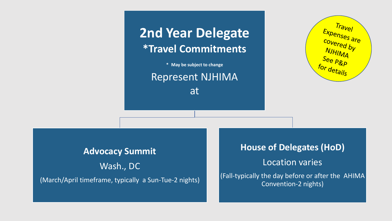

Represent NJHIMA

at



#### **Advocacy Summit**

Wash., DC (March/April timeframe, typically a Sun-Tue-2 nights)

#### **House of Delegates (HoD)**

Location varies

(Fall-typically the day before or after the AHIMA Convention-2 nights)